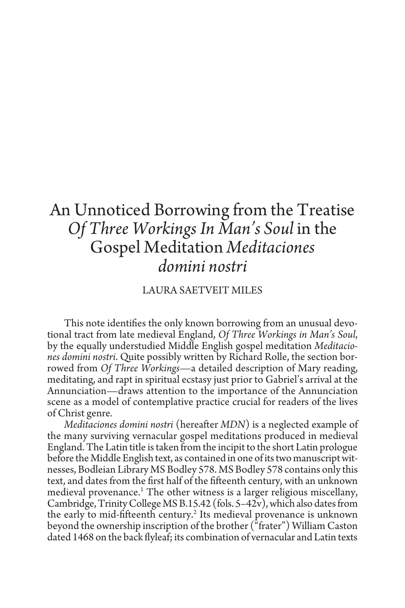## An Unnoticed Borrowing from the Treatise *Of Three Workings In Man's Soul* in the Gospel Meditation *Meditaciones domini nostri*

## LAURA SAETVEIT MILES

This note identifies the only known borrowing from an unusual devotional tract from late medieval England, *Of Three Workings in Man's Soul*, by the equally understudied Middle English gospel meditation *Meditaciones domini nostri*. Quite possibly written by Richard Rolle, the section borrowed from *Of Three Workings*—a detailed description of Mary reading, meditating, and rapt in spiritual ecstasy just prior to Gabriel's arrival at the Annunciation—draws attention to the importance of the Annunciation scene as a model of contemplative practice crucial for readers of the lives of Christ genre*.*

*Meditaciones domini nostri* (hereafter *MDN*) is a neglected example of the many surviving vernacular gospel meditations produced in medieval England. The Latin title is taken from the incipit to the short Latin prologue before the Middle English text, as contained in one of its two manuscript witnesses, Bodleian Library MS Bodley 578. MS Bodley 578 contains only this text, and dates from the first half of the fifteenth century, with an unknown medieval provenance.<sup>1</sup> The other witness is a larger religious miscellany, Cambridge, Trinity College MS B.15.42 (fols. 5–42v), which also dates from the early to mid-fifteenth century.<sup>2</sup> Its medieval provenance is unknown beyond the ownership inscription of the brother ("frater") William Caston dated 1468 on the back flyleaf; its combination of vernacular and Latin texts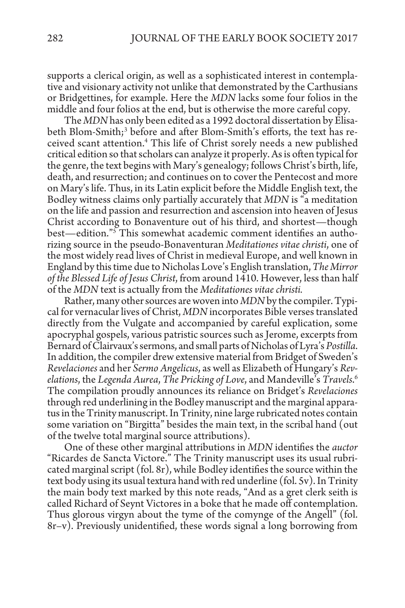supports a clerical origin, as well as a sophisticated interest in contemplative and visionary activity not unlike that demonstrated by the Carthusians or Bridgettines, for example. Here the *MDN* lacks some four folios in the middle and four folios at the end, but is otherwise the more careful copy.

The *MDN* has only been edited as a 1992 doctoral dissertation by Elisabeth Blom-Smith;<sup>3</sup> before and after Blom-Smith's efforts, the text has received scant attention.4 This life of Christ sorely needs a new published critical edition so that scholars can analyze it properly. As is often typical for the genre, the text begins with Mary's genealogy; follows Christ's birth, life, death, and resurrection; and continues on to cover the Pentecost and more on Mary's life. Thus, in its Latin explicit before the Middle English text, the Bodley witness claims only partially accurately that *MDN* is "a meditation on the life and passion and resurrection and ascension into heaven of Jesus Christ according to Bonaventure out of his third, and shortest—though best—edition."5 This somewhat academic comment identifies an authorizing source in the pseudo-Bonaventuran *Meditationes vitae christi*, one of the most widely read lives of Christ in medieval Europe, and well known in England by this time due to Nicholas Love's English translation, *The Mirror of the Blessed Life of Jesus Christ*, from around 1410. However, less than half of the *MDN* text is actually from the *Meditationes vitae christi.* 

Rather, many other sources are woven into *MDN* by the compiler. Typical for vernacular lives of Christ, *MDN* incorporates Bible verses translated directly from the Vulgate and accompanied by careful explication, some apocryphal gospels, various patristic sources such as Jerome, excerpts from Bernard of Clairvaux's sermons, and small parts of Nicholas of Lyra's *Postilla*. In addition, the compiler drew extensive material from Bridget of Sweden's *Revelaciones* and her *Sermo Angelicus*, as well as Elizabeth of Hungary's *Revelations*, the *Legenda Aurea*, *The Pricking of Love*, and Mandeville's *Travels*. 6 The compilation proudly announces its reliance on Bridget's *Revelaciones* through red underlining in the Bodley manuscript and the marginal apparatus in the Trinity manuscript. In Trinity, nine large rubricated notes contain some variation on "Birgitta" besides the main text, in the scribal hand (out of the twelve total marginal source attributions).

One of these other marginal attributions in *MDN* identifies the *auctor* "Ricardes de Sancta Victore." The Trinity manuscript uses its usual rubricated marginal script (fol. 8r), while Bodley identifies the source within the text body using its usual textura hand with red underline (fol. 5v). In Trinity the main body text marked by this note reads, "And as a gret clerk seith is called Richard of Seynt Victores in a boke that he made off contemplation. Thus glorous virgyn about the tyme of the comynge of the Angell" (fol. 8r–v). Previously unidentified, these words signal a long borrowing from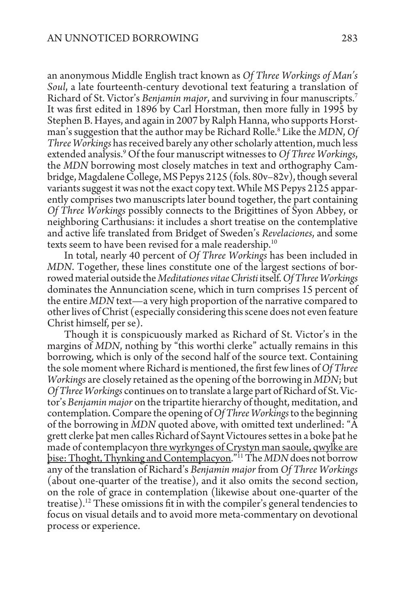an anonymous Middle English tract known as *Of Three Workings of Man's Soul*, a late fourteenth-century devotional text featuring a translation of Richard of St. Victor's *Benjamin major*, and surviving in four manuscripts.7 It was first edited in 1896 by Carl Horstman, then more fully in 1995 by Stephen B. Hayes, and again in 2007 by Ralph Hanna, who supports Horstman's suggestion that the author may be Richard Rolle.8 Like the *MDN*, *Of Three Workings* has received barely any other scholarly attention, much less extended analysis.9 Of the four manuscript witnesses to *Of Three Workings*, the *MDN* borrowing most closely matches in text and orthography Cambridge, Magdalene College, MS Pepys 2125 (fols. 80v–82v), though several variants suggest it was not the exact copy text. While MS Pepys 2125 apparently comprises two manuscripts later bound together, the part containing *Of Three Workings* possibly connects to the Brigittines of Syon Abbey, or neighboring Carthusians: it includes a short treatise on the contemplative and active life translated from Bridget of Sweden's *Revelaciones*, and some texts seem to have been revised for a male readership.<sup>10</sup>

In total, nearly 40 percent of *Of Three Workings* has been included in *MDN*. Together, these lines constitute one of the largest sections of borrowed material outside the *Meditationes vitae Christi* itself. *Of Three Workings* dominates the Annunciation scene, which in turn comprises 15 percent of the entire *MDN* text—a very high proportion of the narrative compared to other lives of Christ (especially considering this scene does not even feature Christ himself, per se).

Though it is conspicuously marked as Richard of St. Victor's in the margins of *MDN*, nothing by "this worthi clerke" actually remains in this borrowing, which is only of the second half of the source text. Containing the sole moment where Richard is mentioned, the first few lines of *Of Three Workings* are closely retained as the opening of the borrowing in *MDN*; but *Of Three Workings* continues on to translate a large part of Richard of St. Victor's *Benjamin major* on the tripartite hierarchy of thought, meditation, and contemplation. Compare the opening of *Of Three Workings* to the beginning of the borrowing in *MDN* quoted above, with omitted text underlined: "A grett clerke þat men calles Richard of Saynt Victoures settes in a boke þat he made of contemplacyon thre wyrkynges of Crystyn man saoule, qwylke are þise: Thoght, Thynking and Contemplacyon."11 The *MDN* does not borrow any of the translation of Richard's *Benjamin major* from *Of Three Workings* (about one-quarter of the treatise), and it also omits the second section, on the role of grace in contemplation (likewise about one-quarter of the treatise).<sup>12</sup> These omissions fit in with the compiler's general tendencies to focus on visual details and to avoid more meta-commentary on devotional process or experience.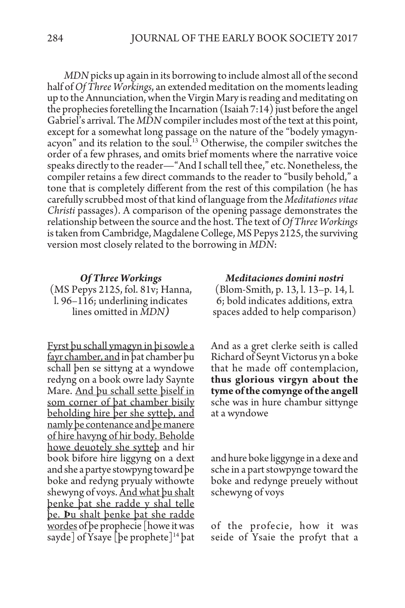*MDN* picks up again in its borrowing to include almost all of the second half of *Of Three Workings*, an extended meditation on the moments leading up to the Annunciation, when the Virgin Mary is reading and meditating on the prophecies foretelling the Incarnation (Isaiah 7:14) just before the angel Gabriel's arrival. The *MDN* compiler includes most of the text at this point, except for a somewhat long passage on the nature of the "bodely ymagynacyon" and its relation to the soul.<sup>13</sup> Otherwise, the compiler switches the order of a few phrases, and omits brief moments where the narrative voice speaks directly to the reader—"And I schall tell thee," etc. Nonetheless, the compiler retains a few direct commands to the reader to "busily behold," a tone that is completely different from the rest of this compilation (he has carefully scrubbed most of that kind of language from the *Meditationes vitae Christi* passages). A comparison of the opening passage demonstrates the relationship between the source and the host. The text of *Of Three Workings* is taken from Cambridge, Magdalene College, MS Pepys 2125, the surviving version most closely related to the borrowing in *MDN*:

## *Of Three Workings*

(MS Pepys 2125, fol. 81v; Hanna, l. 96–116; underlining indicates lines omitted in *MDN)*

Fyrst þu schall ymagyn in þi sowle a fayr chamber, and in þat chamber þu schall þen se sittyng at a wyndowe redyng on a book owre lady Saynte Mare. And þu schall sette þiself in som corner of þat chamber bisily beholding hire þer she sytteþ, and namly þe contenance and þe manere of hire havyng of hir body. Beholde howe deuotely she sytteþ and hir book bifore hire liggyng on a dext and she a partye stowpyng toward þe boke and redyng pryualy withowte shewyng of voys. And what þu shalt þenke þat she radde y shal telle þe. **Þ**u shalt þenke þat she radde wordes of þe prophecie [howe it was sayde of Ysaye  $\lvert$  be prophete  $\lvert$ <sup>14</sup> bat

*Meditaciones domini nostri*  (Blom-Smith, p. 13, l. 13–p. 14, l. 6; bold indicates additions, extra spaces added to help comparison)

And as a gret clerke seith is called Richard of Seynt Victorus yn a boke that he made off contemplacion, **thus glorious virgyn about the tyme of the comynge of the angell** sche was in hure chambur sittynge at a wyndowe

and hure boke liggynge in a dexe and sche in a part stowpynge toward the boke and redynge preuely without schewyng of voys

of the profecie, how it was seide of Ysaie the profyt that a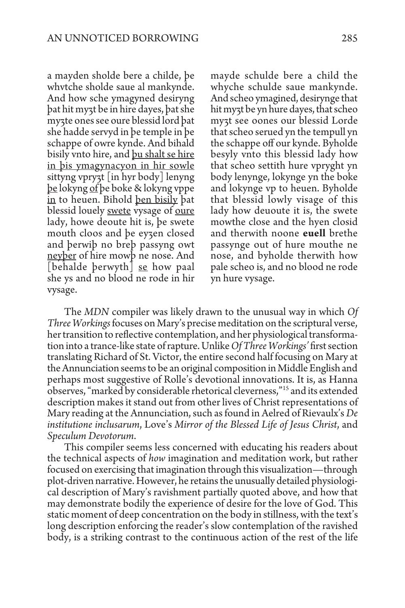a mayden sholde bere a childe, þe whvtche sholde saue al mankynde. And how sche ymagyned desiryng þat hit myȝt be in hire dayes, þat she myȝte ones see oure blessid lord þat she hadde servyd in þe temple in þe schappe of owre kynde. And bihald bisily vnto hire, and þu shalt se hire in þis ymagynacyon in hir sowle sittyng vpryȝt [in hyr body] lenyng þe lokyng of þe boke & lokyng vppe in to heuen. Bihold þen bisily þat blessid louely <u>swete</u> vysage of <u>oure</u> lady, howe deoute hit is, þe swete mouth cloos and þe eyȝen closed and þerwiþ no breþ passyng owt neyber of hire mowb ne nose. And |behalde þerwyth| <u>se</u> how paal she ys and no blood ne rode in hir vysage.

mayde schulde bere a child the whyche schulde saue mankynde. And scheo ymagined, desirynge that hit myȝt be yn hure dayes, that scheo myȝt see oones our blessid Lorde that scheo serued yn the tempull yn the schappe off our kynde. Byholde besyly vnto this blessid lady how that scheo settith hure vpryght yn body lenynge, lokynge yn the boke and lokynge vp to heuen. Byholde that blessid lowly visage of this lady how deuoute it is, the swete mowthe close and the hyen closid and therwith noone **euell** brethe passynge out of hure mouthe ne nose, and byholde therwith how pale scheo is, and no blood ne rode yn hure vysage.

The *MDN* compiler was likely drawn to the unusual way in which *Of Three Workings* focuses on Mary's precise meditation on the scriptural verse, her transition to reflective contemplation, and her physiological transforma- tion into a trance-like state of rapture. Unlike *Of Three Workings'* first section translating Richard of St. Victor, the entire second half focusing on Mary at the Annunciation seems to be an original composition in Middle English and perhaps most suggestive of Rolle's devotional innovations. It is, as Hanna observes, "marked by considerable rhetorical cleverness,"15 and its extended description makes it stand out from other lives of Christ representations of Mary reading at the Annunciation, such as found in Aelred of Rievaulx's *De institutione inclusarum*, Love's *Mirror of the Blessed Life of Jesus Christ*, and *Speculum Devotorum*.

This compiler seems less concerned with educating his readers about the technical aspects of *how* imagination and meditation work, but rather focused on exercising that imagination through this visualization—through plot-driven narrative. However, he retains the unusually detailed physiological description of Mary's ravishment partially quoted above, and how that may demonstrate bodily the experience of desire for the love of God. This static moment of deep concentration on the body in stillness, with the text's long description enforcing the reader's slow contemplation of the ravished body, is a striking contrast to the continuous action of the rest of the life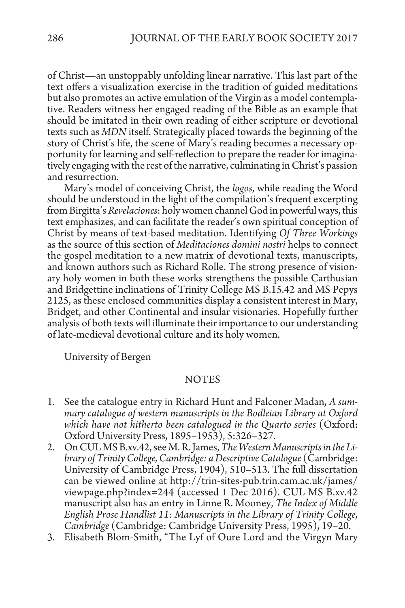of Christ—an unstoppably unfolding linear narrative. This last part of the text offers a visualization exercise in the tradition of guided meditations but also promotes an active emulation of the Virgin as a model contemplative. Readers witness her engaged reading of the Bible as an example that should be imitated in their own reading of either scripture or devotional texts such as *MDN* itself. Strategically placed towards the beginning of the story of Christ's life, the scene of Mary's reading becomes a necessary opportunity for learning and self-reflection to prepare the reader for imaginatively engaging with the rest of the narrative, culminating in Christ's passion and resurrection.

Mary's model of conceiving Christ, the *logos*, while reading the Word should be understood in the light of the compilation's frequent excerpting from Birgitta's *Revelaciones*: holy women channel God in powerful ways, this text emphasizes, and can facilitate the reader's own spiritual conception of Christ by means of text-based meditation. Identifying *Of Three Workings* as the source of this section of *Meditaciones domini nostri* helps to connect the gospel meditation to a new matrix of devotional texts, manuscripts, and known authors such as Richard Rolle. The strong presence of vision- ary holy women in both these works strengthens the possible Carthusian and Bridgettine inclinations of Trinity College MS B.15.42 and MS Pepys 2125, as these enclosed communities display a consistent interest in Mary, Bridget, and other Continental and insular visionaries. Hopefully further analysis of both texts will illuminate their importance to our understanding of late-medieval devotional culture and its holy women.

University of Bergen

## NOTES

- 1. See the catalogue entry in Richard Hunt and Falconer Madan, *A summary catalogue of western manuscripts in the Bodleian Library at Oxford which have not hitherto been catalogued in the Quarto series* (Oxford: Oxford University Press, 1895–1953), 5:326–327.
- 2. On CUL MS B.xv.42, see M. R. James, *The Western Manuscripts in the Library of Trinity College, Cambridge: a Descriptive Catalogue* (Cambridge: University of Cambridge Press, 1904), 510–513. The full dissertation can be viewed online at http://trin-sites-pub.trin.cam.ac.uk/james/ viewpage.php?index=244 (accessed 1 Dec 2016). CUL MS B.xv.42 manuscript also has an entry in Linne R. Mooney, *The Index of Middle English Prose Handlist 11: Manuscripts in the Library of Trinity College, Cambridge* (Cambridge: Cambridge University Press, 1995), 19–20.
- 3. Elisabeth Blom-Smith, "The Lyf of Oure Lord and the Virgyn Mary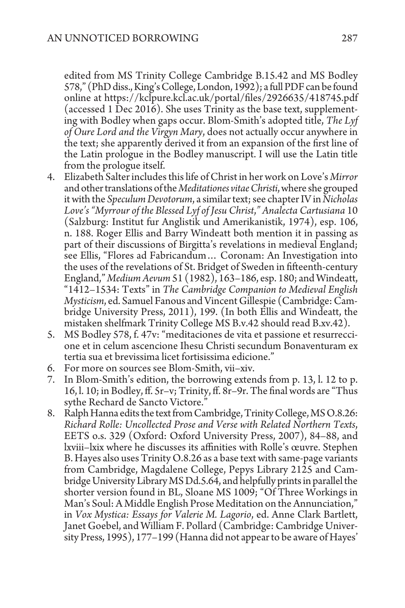edited from MS Trinity College Cambridge B.15.42 and MS Bodley 578," (PhD diss., King's College, London, 1992); a full PDF can be found online at https://kclpure.kcl.ac.uk/portal/files/2926635/418745.pdf (accessed 1 Dec 2016). She uses Trinity as the base text, supplementing with Bodley when gaps occur. Blom-Smith's adopted title, *The Lyf of Oure Lord and the Virgyn Mary*, does not actually occur anywhere in the text; she apparently derived it from an expansion of the first line of the Latin prologue in the Bodley manuscript. I will use the Latin title from the prologue itself.

- 4. Elizabeth Salter includes this life of Christ in her work on Love's *Mirror*  and other translations of the *Meditationes vitae Christi*, where she grouped it with the *Speculum Devotorum*, a similar text; see chapter IV in *Nicholas Love's "Myrrour of the Blessed Lyf of Jesu Christ*,*" Analecta Cartusiana* 10 (Salzburg: Institut fur Anglistik und Amerikanistik, 1974), esp. 106, n. 188. Roger Ellis and Barry Windeatt both mention it in passing as part of their discussions of Birgitta's revelations in medieval England; see Ellis, "Flores ad Fabricandum… Coronam: An Investigation into the uses of the revelations of St. Bridget of Sweden in fifteenth-century England," *Medium Aevum* 51 (1982), 163–186, esp. 180; and Windeatt, "1412–1534: Texts" in *The Cambridge Companion to Medieval English Mysticism*, ed. Samuel Fanous and Vincent Gillespie (Cambridge: Cambridge University Press, 2011), 199. (In both Ellis and Windeatt, the mistaken shelfmark Trinity College MS B.v.42 should read B.xv.42).
- 5. MS Bodley 578, f. 47v: "meditaciones de vita et passione et resurreccione et in celum ascencione Ihesu Christi secundum Bonaventuram ex tertia sua et brevissima licet fortisissima edicione."
- 6. For more on sources see Blom-Smith, vii–xiv.
- 7. In Blom-Smith's edition, the borrowing extends from p. 13, l. 12 to p. 16, l. 10; in Bodley, ff. 5r–v; Trinity, ff. 8r–9r. The final words are "Thus sythe Rechard de Sancto Victore."
- 8. Ralph Hanna edits the text from Cambridge, Trinity College, MS O.8.26: *Richard Rolle: Uncollected Prose and Verse with Related Northern Texts*, EETS o.s. 329 (Oxford: Oxford University Press, 2007), 84–88, and lxviii–lxix where he discusses its affinities with Rolle's œuvre. Stephen B. Hayes also uses Trinity O.8.26 as a base text with same-page variants from Cambridge, Magdalene College, Pepys Library 2125 and Cambridge University Library MS Dd.5.64, and helpfully prints in parallel the shorter version found in BL, Sloane MS 1009; "Of Three Workings in Man's Soul: A Middle English Prose Meditation on the Annunciation," in *Vox Mystica: Essays for Valerie M. Lagorio*, ed. Anne Clark Bartlett, Janet Goebel, and William F. Pollard (Cambridge: Cambridge University Press, 1995), 177–199 (Hanna did not appear to be aware of Hayes'